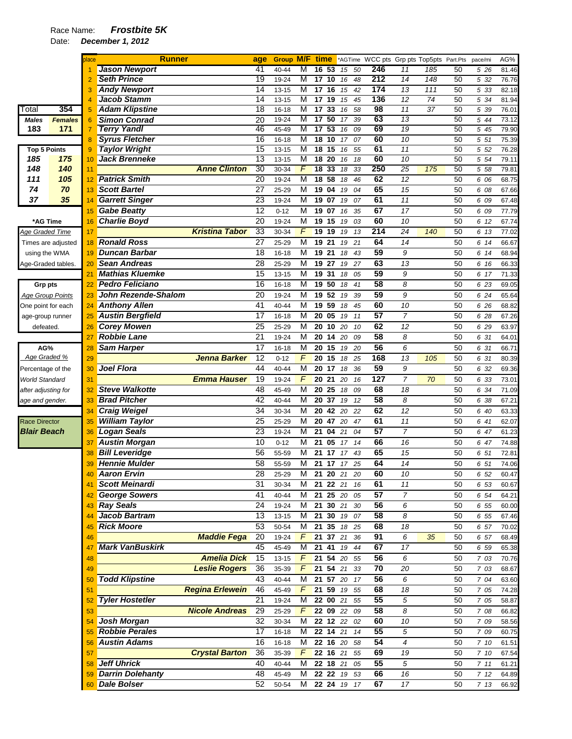|                         |                    | blace | <b>Runner</b>              |                        | age             | <b>Group M/F time</b> |               |                  |              |             |    |     |                 | *AGTime WCC pts Grp pts Top5pts Part.Pts |    | pace/mi      | AG%   |
|-------------------------|--------------------|-------|----------------------------|------------------------|-----------------|-----------------------|---------------|------------------|--------------|-------------|----|-----|-----------------|------------------------------------------|----|--------------|-------|
|                         |                    |       | <b>Jason Newport</b>       |                        | 41              | 40-44                 | M             | 16               | 53           | 15          | 50 | 246 | 11              | 185                                      | 50 | 5 26         | 81.46 |
|                         |                    |       | <b>Seth Prince</b>         |                        | 19              | 19-24                 | M             | 17               | 10           | 16          | 48 | 212 | 14              | 148                                      | 50 | 5 32         | 76.76 |
|                         |                    | З     | <b>Andy Newport</b>        |                        | $\overline{14}$ | 13-15                 | M             | 17 <sub>16</sub> |              | 15          | 42 | 174 | 13              | 111                                      | 50 | 5 33         | 82.18 |
|                         |                    | 4     | <b>Jacob Stamm</b>         |                        | 14              | 13-15                 | M             | 17               | 19           | 15          | 45 | 136 | 12              | 74                                       | 50 | 5 34         | 81.94 |
| Total                   | 354                | 5     | <b>Adam Klipstine</b>      |                        | $\overline{18}$ | $16 - 18$             | M             | 17               | 33           | 16          | 58 | 98  | 11              | 37                                       | 50 | 5 39         | 76.01 |
| <b>Males</b>            | <b>Females</b>     | 6     | <b>Simon Conrad</b>        |                        | 20              | 19-24                 | M             | 17               | 50           | 17          | 39 | 63  | 13              |                                          | 50 | 5 44         | 73.12 |
| 183                     | 171                | 7     | <b>Terry Yandl</b>         |                        | 46              | 45-49                 | M             | 17               | 53           | 16          | 09 | 69  | 19              |                                          | 50 | $5\sqrt{45}$ | 79.90 |
|                         |                    | 8     | <b>Syrus Fletcher</b>      |                        | 16              | 16-18                 | M             | 18               | 10           | 17          | 07 | 60  | 10              |                                          | 50 | 5 51         | 75.39 |
| <b>Top 5 Points</b>     |                    | 9     | <b>Taylor Wright</b>       |                        | 15              | $13 - 15$             | M             | 18               | 15           | 16          | 55 | 61  | 11              |                                          | 50 | 5 52         | 76.28 |
| 185                     | 175                | 10    | <b>Jack Brenneke</b>       |                        | 13              | 13-15                 | M             | $\overline{18}$  | 20           | 16          | 18 | 60  | $\overline{10}$ |                                          | 50 | 5 54         | 79.11 |
| 148                     | 140                | 11    |                            | <b>Anne Clinton</b>    | 30              | 30-34                 | F             | $\overline{18}$  | 33           | 18          | 33 | 250 | $\overline{25}$ | 175                                      | 50 | 5 58         | 79.81 |
| 111                     | 105                | 12    | <b>Patrick Smith</b>       |                        | 20              | 19-24                 | M             | 18 58            |              | 18          | 46 | 62  | $\overline{12}$ |                                          | 50 | 6 06         | 68.75 |
| 74                      | 70                 | 13    | <b>Scott Bartel</b>        |                        | 27              | 25-29                 | M             | 19               | 04           | 19          | 04 | 65  | 15              |                                          | 50 | 6 08         | 67.66 |
| 37                      | 35                 | 14    | <b>Garrett Singer</b>      |                        | 23              | 19-24                 | M             |                  | 19 07        | 19          | 07 | 61  | 11              |                                          | 50 | 6 09         | 67.48 |
|                         |                    | 15    | <b>Gabe Beatty</b>         |                        | 12              | $0 - 12$              | M             | 19 07            |              | 16          | 35 | 67  | 17              |                                          | 50 | 6 09         | 77.79 |
| *AG Time                |                    | 16    | <b>Charlie Boyd</b>        |                        | 20              | 19-24                 | M             | 19               | 15           | 19          | 03 | 60  | 10              |                                          | 50 | 6 12         | 67.74 |
| Age Graded Time         |                    | 17    |                            | <b>Kristina Tabor</b>  | 33              | 30-34                 | F             | 19               | 19           | 19          | 13 | 214 | 24              | 140                                      | 50 | 6 13         | 77.02 |
|                         | Times are adjusted | 18    | <b>Ronald Ross</b>         |                        | 27              | 25-29                 | M             | 19               | 21           | 19          | 21 | 64  | 14              |                                          | 50 | 6 14         | 66.67 |
| using the WMA           |                    | 19    | <b>Duncan Barbar</b>       |                        | 18              | 16-18                 | M             | 19               | 21           | 18          | 43 | 59  | 9               |                                          | 50 | 6 14         | 68.94 |
| Age-Graded tables.      |                    | 20    | <b>Sean Andreas</b>        |                        | $\overline{28}$ | 25-29                 | M             | 19 27            |              | 19          | 27 | 63  | 13              |                                          | 50 | 6 16         | 66.33 |
|                         |                    | 21    | <b>Mathias Kluemke</b>     |                        | 15              | $13 - 15$             | M             | 19               | 31           | 18          | 05 | 59  | 9               |                                          | 50 | 6 17         | 71.33 |
| Grp pts                 |                    | 22    | <b>Pedro Feliciano</b>     |                        | 16              | 16-18                 | M             | 19 50            |              | 18          | 41 | 58  | 8               |                                          | 50 | 6 23         | 69.05 |
| <b>Age Group Points</b> |                    | 23    | <b>John Rezende-Shalom</b> |                        | 20              | 19-24                 | M             |                  | 19 52        | 19          | 39 | 59  | 9               |                                          | 50 | 6 24         | 65.64 |
| One point for each      |                    | 24    | <b>Anthony Allen</b>       |                        | 41              | 40-44                 | M             | 19 59            |              | 18          | 45 | 60  | 10              |                                          | 50 | 6 26         | 68.82 |
| age-group runner        |                    | 25    | <b>Austin Bergfield</b>    |                        | 17              | 16-18                 | M             | 20               | 05           | 19          | 11 | 57  | $\overline{7}$  |                                          | 50 | 6 28         | 67.26 |
| defeated.               |                    | 26    | <b>Corey Mowen</b>         |                        | 25              | 25-29                 | M             | 20               | 10           | 20          | 10 | 62  | 12              |                                          | 50 | 6 29         | 63.97 |
|                         |                    | 27    | <b>Robbie Lane</b>         |                        | 21              | 19-24                 | M             | 20               | 14           | 20          | 09 | 58  | 8               |                                          | 50 | 6 31         | 64.01 |
| AG%                     |                    | 28    | <b>Sam Harper</b>          |                        | 17              | 16-18                 | M             | 20 15            |              | 19          | 20 | 56  | 6               |                                          | 50 | 6 31         | 66.71 |
| Age Graded %            |                    | 29    |                            | <b>Jenna Barker</b>    | 12              | $0 - 12$              | F             | 20               | 15           | 18          | 25 | 168 | 13              | 105                                      | 50 | 6 31         | 80.39 |
| Percentage of the       |                    | 30    | <b>Joel Flora</b>          |                        | 44              | 40-44                 | M             | 20               | 17           | 18          | 36 | 59  | 9               |                                          | 50 | 6 32         | 69.36 |
| <b>World Standard</b>   |                    | 31    |                            | <b>Emma Hauser</b>     | 19              | 19-24                 | F             | 20               | 21           | 20          | 16 | 127 | 7               | 70                                       | 50 | 6 33         | 73.01 |
| after adjusting for     |                    | 32    | <b>Steve Walkotte</b>      |                        | 48              | 45-49                 | M             | 20               | 25           | 18          | 09 | 68  | 18              |                                          | 50 | 6 34         | 71.09 |
| age and gender.         |                    | 33    | <b>Brad Pitcher</b>        |                        | 42              | 40-44                 | M             | 20               | 37           | 19          | 12 | 58  | 8               |                                          | 50 | 6 38         | 67.21 |
|                         |                    | 34    | <b>Craig Weigel</b>        |                        | 34              | 30-34                 | M             | 20               | 42           | 20          | 22 | 62  | 12              |                                          | 50 | 6 40         | 63.33 |
| <b>Race Director</b>    |                    | 35    | <b>William Taylor</b>      |                        | 25              | 25-29                 | M             |                  | 20 47        | 20          | 47 | 61  | 11              |                                          | 50 | 6 41         | 62.07 |
| <b>Blair Beach</b>      |                    | 36    | <b>Logan Seals</b>         |                        | 23              | 19-24                 | M             | 21               | 04           | 21          | 04 | 57  | $\overline{7}$  |                                          | 50 | 6 47         | 61.23 |
|                         |                    | 37    | <b>Austin Morgan</b>       |                        | 10              | $0 - 12$              | M             | 21               | 05           | 17          | 14 | 66  | 16              |                                          | 50 | 6 47         | 74.88 |
|                         |                    |       | <b>Bill Leveridge</b>      |                        | 56              | 55-59                 | M             | 21               | 17           | 17          | 43 | 65  | 15              |                                          | 50 |              | 72.81 |
|                         |                    | 38    | <b>Hennie Mulder</b>       |                        | 58              |                       | M             |                  |              | 21 17 17 25 |    | 64  | 14              |                                          | 50 | 6 51         |       |
|                         |                    | 39    | <b>Aaron Ervin</b>         |                        |                 | 55-59                 |               |                  |              |             |    | 60  |                 |                                          |    | 6 51         | 74.06 |
|                         |                    |       |                            |                        | 28              | 25-29                 | M             |                  | 21 20 21     |             | 20 |     | 10              |                                          | 50 | 652          | 60.47 |
|                         |                    | 41    | <b>Scott Meinardi</b>      |                        | 31              | 30-34                 | м             |                  |              | 21 22 21 16 |    | 61  | 11              |                                          | 50 | 6 53         | 60.67 |
|                         |                    | 42    | <b>George Sowers</b>       |                        | 41              | 40-44                 | М             |                  | 21 25 20     |             | 05 | 57  | $\overline{7}$  |                                          | 50 | 6 54         | 64.21 |
|                         |                    | 43    | <b>Ray Seals</b>           |                        | 24              | 19-24                 | M             |                  | 21 30 21     |             | 30 | 56  | 6               |                                          | 50 | 6 55         | 60.00 |
|                         |                    |       | Jacob Bartram              |                        | 13              | 13-15                 | М             |                  | 21 30        | 19          | 07 | 58  | 8               |                                          | 50 | 6 55         | 67.46 |
|                         |                    | 45    | <b>Rick Moore</b>          |                        | 53              | 50-54                 | M             |                  |              | 21 35 18 25 |    | 68  | 18              |                                          | 50 | 6 57         | 70.02 |
|                         |                    | 46    |                            | <b>Maddie Fega</b>     | 20              | 19-24                 | F             |                  | 21 37 21     |             | 36 | 91  | 6               | 35                                       | 50 | 6 57         | 68.49 |
|                         |                    | 47    | <b>Mark VanBuskirk</b>     |                        | 45              | 45-49                 | M             |                  | 21 41 19     |             | 44 | 67  | 17              |                                          | 50 | 6 59         | 65.38 |
|                         |                    | 48    |                            | <b>Amelia Dick</b>     | 15              | 13-15                 | F             |                  |              | 21 54 20 55 |    | 56  | 6               |                                          | 50 | 7 03         | 70.76 |
|                         |                    | 49    |                            | <b>Leslie Rogers</b>   | 36              | 35-39                 | F             |                  | 21 54 21     |             | 33 | 70  | 20              |                                          | 50 | 7 03         | 68.67 |
|                         |                    | 50    | <b>Todd Klipstine</b>      |                        | 43              | 40-44                 | M             |                  | 21 57 20     |             | 17 | 56  | 6               |                                          | 50 | 7 04         | 63.60 |
|                         |                    | 51    |                            | <b>Regina Erlewein</b> | 46              | 45-49                 | F             |                  | 21 59        | 19          | 55 | 68  | 18              |                                          | 50 | 7 05         | 74.28 |
|                         |                    | 52    | <b>Tyler Hostetler</b>     |                        | 21              | 19-24                 | М             |                  | 22 00 21     |             | 55 | 55  | 5               |                                          | 50 | 7 05         | 58.87 |
|                         |                    | 53    |                            | <b>Nicole Andreas</b>  | 29              | 25-29                 | $\mathcal{F}$ |                  | 22 09 22     |             | 09 | 58  | 8               |                                          | 50 | 7 08         | 66.82 |
|                         |                    | 54    | Josh Morgan                |                        | 32              | 30-34                 | М             |                  | 22 12 22     |             | 02 | 60  | 10              |                                          | 50 | 7 09         | 58.56 |
|                         |                    |       | <b>Robbie Perales</b>      |                        | 17              | 16-18                 | M             |                  | $22$ 14 $21$ |             | 14 | 55  | 5               |                                          | 50 | 7 09         | 60.75 |
|                         |                    |       | <b>Austin Adams</b>        |                        | 16              | 16-18                 | M             |                  |              | 22 16 20 58 |    | 54  | 4               |                                          | 50 | 7 10         | 61.51 |
|                         |                    | 57    |                            | <b>Crystal Barton</b>  | 36              | 35-39                 | F             |                  |              | 22 16 21 55 |    | 69  | 19              |                                          | 50 | 7 10         | 67.54 |
|                         |                    | 58    | Jeff Uhrick                |                        | 40              | 40-44                 | M             |                  | 22 18 21     |             | 05 | 55  | 5               |                                          | 50 | 711          | 61.21 |
|                         |                    | 59    | <b>Darrin Dolehanty</b>    |                        | 48              | 45-49                 | м             |                  |              | 22 22 19 53 |    | 66  | 16              |                                          | 50 | 712          | 64.89 |
|                         |                    |       | 60 Dale Bolser             |                        | 52              | 50-54                 | M             |                  |              | 22 24 19 17 |    | 67  | 17              |                                          | 50 | 7 13         | 66.92 |
|                         |                    |       |                            |                        |                 |                       |               |                  |              |             |    |     |                 |                                          |    |              |       |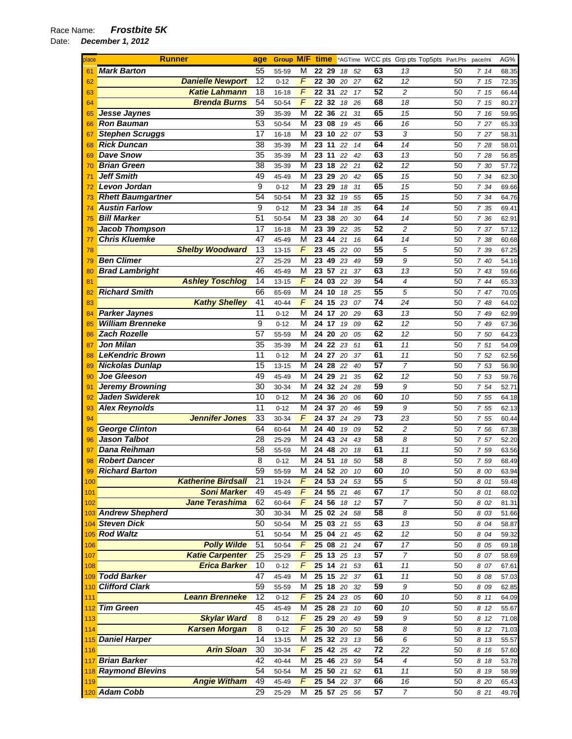| place | <b>Runner</b>            |                           | age             | Group M/F time |                |                    |                    |      |    |                 |                | *AGTime WCC pts Grp pts Top5pts Part.Pts | pace/mi | AG%   |
|-------|--------------------------|---------------------------|-----------------|----------------|----------------|--------------------|--------------------|------|----|-----------------|----------------|------------------------------------------|---------|-------|
| 61    | <b>Mark Barton</b>       |                           | 55              | 55-59          | М              | 22 29              |                    | 18   | 52 | 63              | 13             | 50                                       | 7 14    | 68.35 |
| 62    |                          | <b>Danielle Newport</b>   | 12              | $0 - 12$       | F              | 22 30              |                    | 20   | 27 | 62              | 12             | 50                                       | 7 15    | 72.35 |
| 63    |                          | <b>Katie Lahmann</b>      | 18              | 16-18          | F              | 22 31              |                    | 22   | 17 | 52              | $\overline{c}$ | 50                                       | 7 15    | 66.44 |
| 64    |                          | <b>Brenda Burns</b>       | 54              | 50-54          | F              | 22                 | 32                 | 18   | 26 | 68              | 18             | 50                                       | 7 15    | 80.27 |
| 65    | Jesse Jaynes             |                           | 39              | 35-39          | М              | 22 36              |                    | 21   | 31 | 65              | 15             | 50                                       | 7 16    | 59.95 |
| 66    | <b>Ron Bauman</b>        |                           | 53              | 50-54          | М              | 23 08              |                    | 19   | 45 | 66              | 16             | 50                                       | 7 27    | 65.33 |
| 67    | <b>Stephen Scruggs</b>   |                           | 17              | 16-18          | М              |                    | 23 10              | 22   | 07 | 53              | 3              | 50                                       | 7 27    | 58.31 |
| 68    | <b>Rick Duncan</b>       |                           | 38              | 35-39          | М              | 23 11              |                    | 22   | 14 | 64              | 14             | 50                                       | 7 28    | 58.01 |
| 69    | <b>Dave Snow</b>         |                           | 35              | 35-39          | М              |                    | 23 11              | 22   | 42 | 63              | 13             | 50                                       | 7 28    | 56.85 |
| 70    | <b>Brian Green</b>       |                           | $\overline{38}$ | 35-39          | М              | 23                 | 18                 | 22   | 21 | 62              | 12             | 50                                       | 7 30    | 57.72 |
| 71    | <b>Jeff Smith</b>        |                           | 49              | 45-49          | М              |                    | 23 29              | 20   | 42 | 65              | 15             | 50                                       | 7 34    | 62.30 |
| 72    | Levon Jordan             |                           | 9               | $0 - 12$       | М              | 23                 | 29                 | 18   | 31 | 65              | 15             | 50                                       | 7 34    | 69.66 |
| 73    | <b>Rhett Baumgartner</b> |                           | 54              | 50-54          | М              | 23                 | 32                 | 19   | 55 | 65              | 15             | 50                                       | 7 34    | 64.76 |
| 74    | <b>Austin Farlow</b>     |                           | 9               | $0 - 12$       | M              | 23                 | 34                 | 18   | 35 | 64              | 14             | 50                                       | 7 35    | 69.41 |
| 75    | <b>Bill Marker</b>       |                           | 51              | 50-54          | М              |                    | 23 38              | 20   | 30 | 64              | 14             | 50                                       | 7 36    | 62.91 |
| 76    | <b>Jacob Thompson</b>    |                           | 17              | $16 - 18$      | M              | 23                 | 39                 | 22   | 35 | 52              | $\overline{c}$ | 50                                       | 7 37    | 57.12 |
| 77    | <b>Chris Kluemke</b>     |                           | 47              | 45-49          | М              | 23                 | 44                 | 21   | 16 | 64              | 14             | 50                                       | 7 38    | 60.68 |
| 78    |                          | <b>Shelby Woodward</b>    | 13              | 13-15          | F              | 23                 | 45                 | 22   | 00 | 55              | 5              | 50                                       | 7 39    | 67.25 |
| 79    | <b>Ben Climer</b>        |                           | 27              | 25-29          | М              | 23                 | 49 23              |      | 49 | 59              | 9              | 50                                       | 7 40    | 54.16 |
| 80    | <b>Brad Lambright</b>    |                           | 46              | 45-49          | М              | 23                 | 57                 | 21   | 37 | 63              | 13             | 50                                       | 7 43    | 59.66 |
| 81    |                          | <b>Ashley Toschlog</b>    | 14              | $13 - 15$      | F              | 24                 | 03                 | 22   | 39 | 54              | 4              | 50                                       | 7 44    | 65.33 |
| 82    | <b>Richard Smith</b>     |                           | 66              | 65-69          | М              | $24 \overline{10}$ |                    | 18   | 25 | 55              | 5              | 50                                       | 7 47    | 70.05 |
| 83    |                          | <b>Kathy Shelley</b>      | 41              | 40-44          | F              | 24 15              |                    | 23   | 07 | $\overline{74}$ | 24             | 50                                       | 7 48    | 64.02 |
|       | <b>Parker Jaynes</b>     |                           | 11              |                | М              | 24 17              |                    |      | 29 | 63              | 13             | 50                                       | 7 49    |       |
| 84    | <b>William Brenneke</b>  |                           | 9               | $0 - 12$       |                | 24 17              |                    | 20   |    | 62              | 12             |                                          |         | 62.99 |
| 85    | <b>Zach Rozelle</b>      |                           |                 | $0 - 12$       | М              |                    |                    | 19   | 09 |                 |                | 50                                       | 7 49    | 67.36 |
| 86    |                          |                           | 57              | 55-59          | М              |                    | 24 20              | 20   | 05 | 62<br>61        | 12             | 50                                       | 7 50    | 64.23 |
| 87    | <b>Jon Milan</b>         |                           | 35              | 35-39          | М              |                    | 24 22              | 23   | 51 |                 | 11             | 50                                       | 7 51    | 54.09 |
| 88    | <b>LeKendric Brown</b>   |                           | 11              | $0 - 12$       | М              |                    | 24 27              | 20   | 37 | 61              | 11             | 50                                       | 7 52    | 62.56 |
| 89    | <b>Nickolas Dunlap</b>   |                           | 15              | 13-15          | М              | 24                 | 28                 | 22   | 40 | 57              | 7              | 50                                       | 7 53    | 56.90 |
| 90    | <b>Joe Gleeson</b>       |                           | 49              | 45-49          | М              |                    | 24 29              | 21   | 35 | 62              | 12             | 50                                       | 7 53    | 59.76 |
| 91    | <b>Jeremy Browning</b>   |                           | 30              | 30-34          | М              | 24                 | $\overline{32}$    | 24   | 28 | 59              | 9              | 50                                       | 7 54    | 52.71 |
| 92    | Jaden Swiderek           |                           | 10              | $0 - 12$       | М              |                    | 24 36              | 20   | 06 | 60              | 10             | 50                                       | 7 55    | 64.18 |
| 93    | <b>Alex Reynolds</b>     |                           | 11              | $0 - 12$       | М              |                    | 24 37              | 20   | 46 | 59              | 9              | 50                                       | 7 55    | 62.13 |
| 94    |                          | <b>Jennifer Jones</b>     | 33              | 30-34          | F              | 24                 | 37                 | 24   | 29 | 73              | 23             | 50                                       | 7 55    | 60.44 |
| 95    | <b>George Clinton</b>    |                           | 64              | 60-64          | М              | 24 40              |                    | 19   | 09 | 52              | $\overline{c}$ | 50                                       | 7 56    | 67.38 |
| 96    | <b>Jason Talbot</b>      |                           | 28              | 25-29          | М              |                    | 24 43              | 24   | 43 | 58              | 8              | 50                                       | 7 57    | 52.20 |
| 97    | Dana Reihman             |                           | 58              | 55-59          | М              | 24                 | 48                 | 20   | 18 | 61              | 11             | 50                                       | 7 59    | 63.56 |
| 98    | <b>Robert Dancer</b>     |                           | 8               | $0 - 12$       | М              | 24 51              |                    | 18   | 50 | 58              | 8              | 50                                       | 759     | 68.49 |
| 99    | <b>Richard Barton</b>    |                           | 59              | 55-59          | М              | $\overline{24}$    | $\overline{52}$ 20 |      | 10 | 60              | 10             | 50                                       | 8 00    | 63.94 |
| 100   |                          | <b>Katherine Birdsall</b> | 21              | 19-24          | F              |                    | 24 53 24           |      | 53 | 55              | 5              | 50                                       | 8 01    | 59.48 |
| 101   |                          | <b>Soni Marker</b>        | 49              | 45-49          | F              |                    | 24 55 21           |      | 46 | 67              | 17             | 50                                       | 8 01    | 68.02 |
| 102   |                          | Jane Terashima            | 62              | 60-64          | F              | 24 56              |                    | 18   | 12 | 57              | $\overline{7}$ | 50                                       | 8 02    | 81.31 |
|       | 103 Andrew Shepherd      |                           | 30              | 30-34          | М              |                    | 25 02 24           |      | 58 | 58              | 8              | 50                                       | 8 03    | 51.66 |
|       | 104 Steven Dick          |                           | 50              | 50-54          | М              |                    | 25 03 21           |      | 55 | 63              | 13             | 50                                       | 8 04    | 58.87 |
|       | 105 Rod Waltz            |                           | 51              | 50-54          | М              |                    | 250421             |      | 45 | 62              | 12             | 50                                       | 8 04    | 59.32 |
| 106   |                          | <b>Polly Wilde</b>        | 51              | 50-54          | F              | 25 08              |                    | 21   | 24 | 67              | 17             | 50                                       | 8 0 5   | 69.18 |
| 107   |                          | <b>Katie Carpenter</b>    | 25              | 25-29          | F              |                    | $25 \t13$          | 25   | 13 | 57              | $\overline{7}$ | 50                                       | 8 07    | 58.69 |
| 108   |                          | <b>Erica Barker</b>       | 10              | $0 - 12$       | $\overline{F}$ |                    | 25 14 21           |      | 53 | 61              | 11             | 50                                       | 8 07    | 67.61 |
| 109   | <b>Todd Barker</b>       |                           | 47              | 45-49          | М              |                    | $25$ 15            | 22   | 37 | 61              | 11             | 50                                       | 8 08    | 57.03 |
| 110   | <b>Clifford Clark</b>    |                           | 59              | 55-59          | М              |                    | 25 18 20           |      | 32 | 59              | 9              | 50                                       | 8 09    | 62.85 |
| 111   |                          | <b>Leann Brenneke</b>     | 12              | $0 - 12$       | F              |                    | 25 24 23           |      | 05 | 60              | 10             | 50                                       | 8 11    | 64.09 |
| 112   | <b>Tim Green</b>         |                           | 45              | 45-49          | М              |                    | 25 28 23           |      | 10 | 60              | 10             | 50                                       | 8 12    | 55.67 |
| 113   |                          | <b>Skylar Ward</b>        | 8               | $0 - 12$       | F              |                    | 25 29 20           |      | 49 | 59              | 9              | 50                                       | 8 12    | 71.08 |
| 114   |                          | <b>Karsen Morgan</b>      | 8               | $0 - 12$       | $\overline{F}$ |                    | 25 30 20           |      | 50 | 58              | 8              | 50                                       | 8 12    | 71.03 |
|       | 115 Daniel Harper        |                           | 14              | $13 - 15$      | М              |                    | 25 32 23           |      | 13 | 56              | 6              | 50                                       | 8 13    | 55.57 |
| 116   |                          | <b>Arin Sloan</b>         | 30              | 30-34          | F              |                    | 25 42 25           |      | 42 | $\overline{72}$ | 22             | 50                                       | 8 16    | 57.60 |
| 117   | <b>Brian Barker</b>      |                           | 42              | $40 - 44$      | М              |                    | 25 46 23           |      | 59 | 54              | 4              | 50                                       | 8 18    | 53.78 |
|       | 118 Raymond Blevins      |                           | 54              | 50-54          | М              |                    | 25 50 21           |      | 52 | 61              | 11             | 50                                       | 8 19    | 58.99 |
| 119   |                          | <b>Angie Witham</b>       | 49              | 45-49          | F              |                    | 25 54 22           |      | 37 | 66              | 16             | 50                                       | 8 20    | 65.43 |
|       | 120 Adam Cobb            |                           | 29              | 25-29          | М              |                    | 25 57 25           | - 56 |    | 57              | $\overline{7}$ | 50                                       | 8 21    | 49.76 |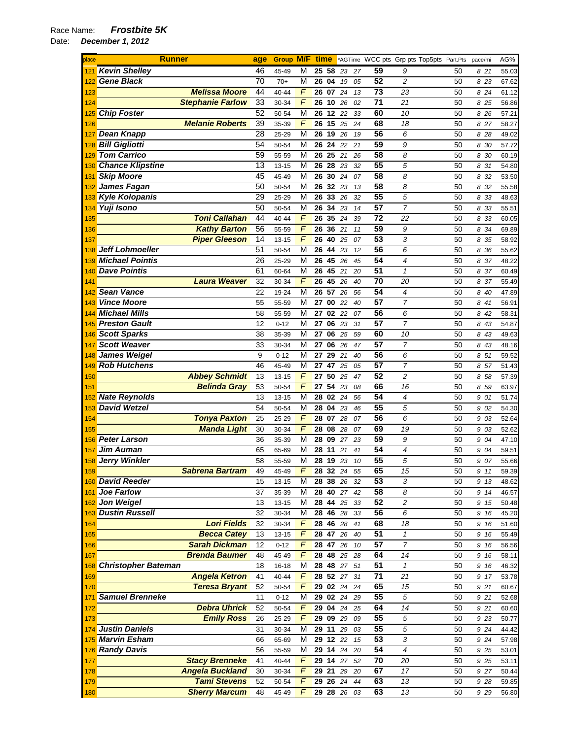| place      | <b>Runner</b>                                 | age      | Group M/F time    |                |          |                      |          |          |                            | *AGTime WCC pts Grp pts Top5pts Part.Pts | pace/mi      | AG%            |
|------------|-----------------------------------------------|----------|-------------------|----------------|----------|----------------------|----------|----------|----------------------------|------------------------------------------|--------------|----------------|
| 121        | <b>Kevin Shelley</b>                          | 46       | 45-49             | М              | 25 58    |                      | 23<br>27 | 59       | 9                          | 50                                       | 821          | 55.03          |
| 122        | <b>Gene Black</b>                             | 70       | $70+$             | M              | 26 04    |                      | 19<br>05 | 52       | $\overline{c}$             | 50                                       | 8 2 3        | 67.62          |
| 123        | <b>Melissa Moore</b>                          | 44       | 40-44             | F              | 26 07    | 24                   | 13       | 73       | 23                         | 50                                       | 8 24         | 61.12          |
| 124        | <b>Stephanie Farlow</b>                       | 33       | 30-34             | $\overline{F}$ | 26       | 10<br>26             | 02       | 71       | 21                         | 50                                       | 8 25         | 56.86          |
|            | <b>Chip Foster</b>                            | 52       | 50-54             | M              | 26       | 12 22                | 33       | 60       | 10                         | 50                                       | 8 26         | 57.21          |
| 126        | <b>Melanie Roberts</b>                        | 39       | 35-39             | $\overline{F}$ | 26       | 15<br>25             | 24       | 68       | 18                         | 50                                       | 8 27         | 58.27          |
|            | <b>Dean Knapp</b>                             | 28       | 25-29             | M              | 26       | 19<br>26             | 19       | 56       | 6                          | 50                                       | 8 28         | 49.02          |
| 128        | <b>Bill Gigliotti</b>                         | 54       | 50-54             | M              | 26       | 24                   | 22<br>21 | 59       | 9                          | 50                                       | 8 30         | 57.72          |
|            | <b>Tom Carrico</b>                            | 59       | 55-59             | М              | 26       | 25<br>21             | 26       | 58       | 8                          | 50                                       | 8 30         | 60.19          |
| 130        | <b>Chance Klipstine</b>                       | 13       | $13 - 15$         | M              | 26       | 28<br>23             | 32       | 55       | 5                          | 50                                       | 8 31         | 54.80          |
| 131        | <b>Skip Moore</b>                             | 45       | 45-49             | M              | 26       | 30<br>24             | 07       | 58       | 8                          | 50                                       | 8 32         | 53.50          |
| 132        | James Fagan                                   | 50       | 50-54             | M              | 26       | 32<br>23             | 13       | 58       | 8                          | 50                                       | 8 32         | 55.58          |
| 133        | Kyle Kolopanis                                | 29       | 25-29             | M              | 26       | 33<br>26             | 32       | 55       | 5                          | 50                                       | 8 33         | 48.63          |
| 134        | Yuji Isono                                    | 50       | 50-54             | M              | 26       | 34<br>23             | 14       | 57       | $\overline{7}$             | 50                                       | 8 33         | 55.51          |
| 135        | <b>Toni Callahan</b>                          | 44       | 40-44             | $\sqrt{2}$     | 26       | 35<br>24             | 39       | 72       | 22                         | 50                                       | 8 3 3        | 60.05          |
| 136        | <b>Kathy Barton</b>                           | 56       | 55-59             | F              | 26       | 36<br>21             | 11       | 59       | 9                          | 50                                       | 8 34         | 69.89          |
| 137        | <b>Piper Gleeson</b>                          | 14       | $13 - 15$         | F              | 26       | 40<br>25             | 07       | 53       | 3                          | 50                                       | 8 35         | 58.92          |
| 138        | <b>Jeff Lohmoeller</b>                        | 51       | 50-54             | M              | 26       | 44<br>23             | 12       | 56       | 6                          | 50                                       | 8 36         | 55.62          |
| 139        | <b>Michael Pointis</b>                        | 26       | 25-29             | M              | 26       | 45 26                | 45       | 54       | $\overline{4}$             | 50                                       | 8 37         | 48.22          |
| 140        | <b>Dave Pointis</b>                           | 61       | 60-64             | M              | 26       | 45<br>21             | 20       | 51       | $\mathcal I$               | 50                                       | 8 37         | 60.49          |
| 141        | <b>Laura Weaver</b>                           | 32       | 30-34             | F              | 26       | 45<br>26             | 40       | 70<br>54 | 20                         | 50                                       | 8 37         | 55.49          |
| 142        | <b>Sean Vance</b><br><b>Vince Moore</b>       | 22       | 19-24             | M              | 26       | 57<br>26             | 56       |          | $\overline{\mathcal{A}}$   | 50                                       | 8 40         | 47.89          |
| 143        | <b>Michael Mills</b>                          | 55       | 55-59             | M              | 27       | 00<br>22             | 40       | 57       | $\overline{7}$             | 50                                       | 8 41         | 56.91          |
| 144        |                                               | 58       | 55-59             | M              | 27       | 02 22                | 07       | 56       | 6                          | 50                                       | 8 42         | 58.31          |
| 145        | <b>Preston Gault</b>                          | 12       | $0 - 12$          | M              | 27       | 06<br>23             | 31       | 57<br>60 | 7                          | 50                                       | 8 43         | 54.87          |
| 146        | <b>Scott Sparks</b><br><b>Scott Weaver</b>    | 38<br>33 | 35-39             | М<br>M         | 27<br>27 | 06<br>25<br>06<br>26 | 59<br>47 | 57       | 10<br>$\overline{7}$       | 50<br>50                                 | 8 43<br>8 43 | 49.63          |
| 147<br>148 | <b>James Weigel</b>                           | 9        | 30-34<br>$0 - 12$ | M              | 27       | 29<br>21             | 40       | 56       | 6                          | 50                                       | 8 51         | 48.16<br>59.52 |
| 149        | <b>Rob Hutchens</b>                           | 46       | 45-49             | M              | 27       | 47                   | 25<br>05 | 57       | 7                          | 50                                       | 8 57         | 51.43          |
| 150        | <b>Abbey Schmidt</b>                          | 13       | $13 - 15$         | $\sqrt{F}$     | 27       | 50<br>25             | 47       | 52       | 2                          | 50                                       | 8 58         | 57.39          |
| 151        | <b>Belinda Gray</b>                           | 53       | 50-54             | $\sqrt{2}$     | 27       | 54<br>23             | 08       | 66       | 16                         | 50                                       | 8 5 9        | 63.97          |
|            | <b>Nate Reynolds</b>                          | 13       | $13 - 15$         | M              | 28       | 02 24                | 56       | 54       | 4                          | 50                                       | 9 01         | 51.74          |
| 153        | <b>David Wetzel</b>                           | 54       | 50-54             | M              | 28       | 04<br>23             | 46       | 55       | 5                          | 50                                       | 9 02         | 54.30          |
| 154        | <b>Tonya Paxton</b>                           | 25       | 25-29             | F              | 28       | 07<br>28             | 07       | 56       | 6                          | 50                                       | 9 03         | 52.64          |
| 155        | <b>Manda Light</b>                            | 30       | 30-34             | $\overline{F}$ | 28       | 08<br>28             | 07       | 69       | 19                         | 50                                       | 9 03         | 52.62          |
| 156        | <b>Peter Larson</b>                           | 36       | 35-39             | M              | 28       | 09<br>27             | 23       | 59       | 9                          | 50                                       | 9 04         | 47.10          |
| 157        | <b>Jim Auman</b>                              | 65       | 65-69             | M              | 28       | 11<br>21             | 41       | 54       | $\overline{4}$             | 50                                       | 9 04         | 59.51          |
|            | 158 Jerry Winkler                             | 58       | 55-59             | м              | 28       | 19<br>23             | 10       | 55       | 5                          | 50                                       | 9 07         | 55.66          |
| 159        | Sabrena Bartram                               | 49       | 45-49             | F              | 28       | 32<br>24             | 55       | 65       | $\overline{15}$            | 50                                       | 9 11         | 59.39          |
|            | 160 David Reeder                              | 15       | $13 - 15$         | М              |          | <b>28 38 26</b>      | 32       | 53       | 3                          | 50                                       | 9 13         | 48.62          |
| 161        | Joe Farlow                                    | 37       | 35-39             | М              | 28 40    |                      | 27<br>42 | 58       | 8                          | 50                                       | 9 14         | 46.57          |
| 162        | <b>Jon Weigel</b>                             | 13       | 13-15             | М              | 28       | 44<br>25             | 33       | 52       | 2                          | 50                                       | 9 15         | 50.48          |
|            | 163 Dustin Russell                            | 32       | 30-34             | M              |          | 28 46 28             | 33       | 56       | 6                          | 50                                       | 9 16         | 45.20          |
| 164        | <b>Lori Fields</b>                            | 32       | 30-34             | F              |          | 28 46 28             | 41       | 68       | 18                         | 50                                       | 9 16         | 51.60          |
| 165        | <b>Becca Catey</b>                            | 13       | $13 - 15$         | F              | 28       | 47<br>26             | 40       | 51       | $\boldsymbol{\mathcal{L}}$ | 50                                       | 9 16         | 55.49          |
| 166        | <b>Sarah Dickman</b>                          | 12       | $0 - 12$          | $\overline{F}$ | 28       | 47<br>26             | 10       | 57       | $\overline{7}$             | 50                                       | 9 16         | 56.56          |
| 167        | <b>Brenda Baumer</b>                          | 48       | 45-49             | $\overline{F}$ | 28       | 48<br>25             | 28       | 64       | 14                         | 50                                       | 9 16         | 58.11          |
| 168        | <b>Christopher Bateman</b>                    | 18       | 16-18             | M              | 28 48    | 27                   | 51       | 51       | $\mathbf{1}$               | 50                                       | 9 16         | 46.32          |
| 169        | <b>Angela Ketron</b>                          | 41       | $40 - 44$         | F              |          | 28 52 27             | 31       | 71       | 21                         | 50                                       | 9 17         | 53.78          |
| 170        | <b>Teresa Bryant</b>                          | 52       | 50-54             | F              |          | 29 02 24             | 24       | 65       | 15                         | 50                                       | 9 21         | 60.67          |
| 171        | <b>Samuel Brenneke</b><br><b>Debra Uhrick</b> | 11<br>52 | $0 - 12$          | M<br>F         |          | 29 02 24<br>29 04 24 | 29       | 55<br>64 | 5<br>14                    | 50                                       | 9 21         | 52.68          |
| 172        | <b>Emily Ross</b>                             | 26       | 50-54             | F              |          | 29 09 29             | 25       | 55       | 5                          | 50<br>50                                 | 9 21         | 60.60          |
| 173<br>174 | <b>Justin Daniels</b>                         | 31       | 25-29<br>30-34    | M              | 29       | 11<br>29             | 09<br>03 | 55       | 5                          | 50                                       | 9 23<br>9 24 | 50.77<br>44.42 |
|            | 175 Marvin Esham                              | 66       | 65-69             | M              |          | 29 12 22             | 15       | 53       | 3                          | 50                                       | 9 24         |                |
|            | 176 Randy Davis                               | 56       | 55-59             | M              |          | 29 14 24             | 20       | 54       | 4                          | 50                                       | 9 25         | 57.98<br>53.01 |
| 177        | <b>Stacy Brenneke</b>                         | 41       | 40-44             | $\overline{F}$ |          | 29 14 27             | 52       | 70       | 20                         | 50                                       | 9 25         | 53.11          |
| 178        | <b>Angela Buckland</b>                        | 30       | 30-34             | F              | 29 21    |                      | 29<br>20 | 67       | 17                         | 50                                       | 9 27         | 50.44          |
| 179        | <b>Tami Stevens</b>                           | 52       | 50-54             | F              |          | 29 26 24             | 44       | 63       | 13                         | 50                                       | 9 28         | 59.85          |
| 180        | <b>Sherry Marcum</b>                          | 48       | 45-49             | F              |          | 29 28 26             | 03       | 63       | 13                         | 50                                       | 9 2 9        | 56.80          |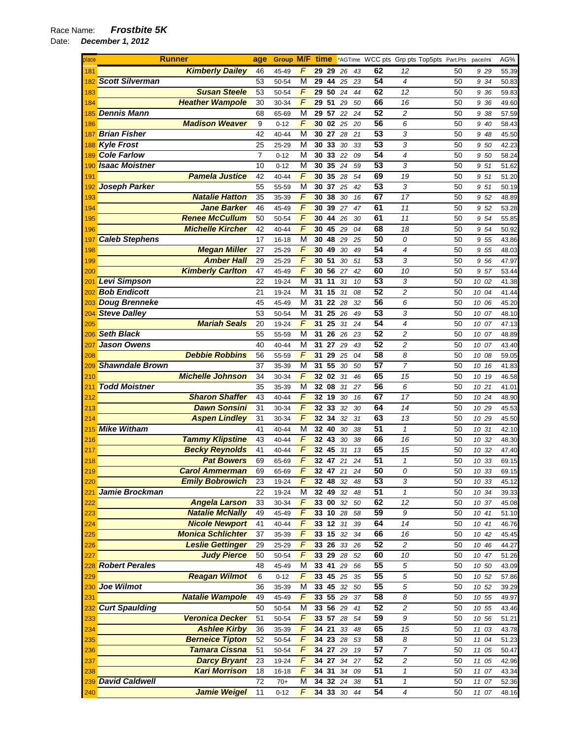| place           |                        | <b>Runner</b>                                | age            | <b>Group M/F</b> |                         | time  |               |          |          | *AGTime WCC pts Grp pts Top5pts Part.Pts |                |          | pace/mi        | AG%            |
|-----------------|------------------------|----------------------------------------------|----------------|------------------|-------------------------|-------|---------------|----------|----------|------------------------------------------|----------------|----------|----------------|----------------|
| 181             |                        | <b>Kimberly Dailey</b>                       | 46             | 45-49            | F                       |       | 29 29         | 26       | 43       | 62                                       | 12             | 50       | 9 29           | 55.39          |
| 182             | <b>Scott Silverman</b> |                                              | 53             | 50-54            | M                       | 29    | 44            | 25       | 23       | 54                                       | 4              | 50       | 9 34           | 50.83          |
| 183             |                        | <b>Susan Steele</b>                          | 53             | 50-54            | F                       | 29    | 50            | 24       | 44       | 62                                       | 12             | 50       | 9 36           | 59.83          |
| 184             |                        | <b>Heather Wampole</b>                       | 30             | 30-34            | F                       | 29    | 51            | 29       | 50       | 66                                       | 16             | 50       | 9 36           | 49.60          |
| 185             | <b>Dennis Mann</b>     |                                              | 68             | 65-69            | M                       | 29    | 57            | 22       | 24       | 52                                       | $\overline{c}$ | 50       | 9 38           | 57.59          |
| 186             |                        | <b>Madison Weaver</b>                        | 9              | $0 - 12$         | F                       | 30    | 02            | 25       | 20       | 56                                       | 6              | 50       | 9 40           | 58.43          |
| 187             | <b>Brian Fisher</b>    |                                              | 42             | 40-44            | M                       |       | 30 27         | 28       | 21       | 53                                       | 3              | 50       | 9 48           | 45.50          |
| 188             | <b>Kyle Frost</b>      |                                              | 25             | 25-29            | M                       | 30    | 33            | 30       | 33       | 53                                       | 3              | 50       | 9 50           | 42.23          |
| 189             | <b>Cole Farlow</b>     |                                              | $\overline{7}$ | $0 - 12$         | M                       | 30    | 33 22         |          | 09       | 54                                       | $\overline{4}$ | 50       | 9 50           | 58.24          |
| 190             | <b>Isaac Moistner</b>  |                                              | 10             | $0 - 12$         | M                       | 30    | 35            | 24       | 59       | 53                                       | 3              | 50       | 9 51           | 51.62          |
| 19 <sup>°</sup> |                        | <b>Pamela Justice</b>                        | 42             | 40-44            | F                       | 30    | 35            | 28       | 54       | 69                                       | 19             | 50       | 9 51           | 51.20          |
| 192             | <b>Joseph Parker</b>   |                                              | 55             | 55-59            | M                       | 30    | 37            | 25       | 42       | 53                                       | 3              | 50       | 9 51           | 50.19          |
| 193             |                        | <b>Natalie Hatton</b>                        | 35             | 35-39            | F                       | 30    | 38            | 30       | 16       | 67                                       | 17             | 50       | 9 52           | 48.89          |
| 194             |                        | <b>Jane Barker</b>                           | 46             | 45-49            | F                       | 30    | 39            | 27       | 47       | 61                                       | 11             | 50       | 9 52           | 53.28          |
| 195             |                        | <b>Renee McCullum</b>                        | 50             | 50-54            | $\sqrt{F}$              | 30    | 44            | 26       | 30       | 61                                       | 11             | 50       | 9 54           | 55.85          |
| 196             |                        | <b>Michelle Kircher</b>                      | 42             | 40-44            | $\sqrt{F}$              | 30    | 45            | 29       | 04       | 68                                       | 18             | 50       | 9 54           | 50.92          |
| 197             | <b>Caleb Stephens</b>  |                                              | 17             | 16-18            | M                       | 30    | 48            | 29       | 25       | 50                                       | 0              | 50       | 9 55           | 43.86          |
| 198             |                        | <b>Megan Miller</b>                          | 27             | 25-29            | F                       | 30    | 49            | 30       | 49       | 54                                       | $\overline{4}$ | 50       | 9 55           | 48.03          |
| 199             |                        | <b>Amber Hall</b>                            | 29             | 25-29            | F                       |       | 30 51         | 30       | 51       | 53                                       | 3              | 50       | 9 56           | 47.97          |
| 200             |                        | <b>Kimberly Carlton</b>                      | 47             | 45-49            | F                       | 30    | 56            | 27       | 42       | 60                                       | 10             | 50       | 9 57           | 53.44          |
| <u>201</u>      | Levi Simpson           |                                              | 22             | 19-24            | M                       | 31    | 11            | 31       | 10       | 53                                       | 3              | 50       | 10 02          | 41.38          |
| 202             | <b>Bob Endicott</b>    |                                              | 21             | 19-24            | М                       | 31    | 15            | 31       | 08       | 52                                       | $\overline{c}$ | 50       | 10 04          | 41.44          |
| 203             | <b>Doug Brenneke</b>   |                                              | 45             | 45-49            | M                       | 31    | 22            | 28       | 32       | 56                                       | 6              | 50       | 10 06          | 45.20          |
| 204             | <b>Steve Dalley</b>    |                                              | 53             | 50-54            | M                       | 31    | 25            | 26       | 49       | 53                                       | 3              | 50       | 10 07          | 48.10          |
| 205             |                        | <b>Mariah Seals</b>                          | 20             | 19-24            | F                       | 31    | 25            | 31       | 24       | 54                                       | 4              | 50       | 10 07          | 47.13          |
| 206             | <b>Seth Black</b>      |                                              | 55             | 55-59            | М                       | 31    | 26            | 26       | 23       | 52                                       | 2              | 50       | 10 07          | 48.89          |
| 207             | <b>Jason Owens</b>     |                                              | 40             | 40-44            | M                       | 31    | 27            | 29       | 43       | 52                                       | 2              | 50       | 10 07          | 43.40          |
| 208             |                        | <b>Debbie Robbins</b>                        | 56             | 55-59            | F                       | 31    | 29            | 25       | 04       | 58                                       | 8              | 50       | 10 08          | 59.05          |
| 209             | <b>Shawndale Brown</b> |                                              | 37             | 35-39            | M                       | 31    | 55            | 30       | 50       | $\overline{57}$                          | $\overline{7}$ | 50       | 10 16          | 41.83          |
| 210             |                        | <b>Michelle Johnson</b>                      | 34             | 30-34            | F                       |       | 32 02 31      |          | 46       | 65                                       | 15             | 50       | 10 19          | 46.58          |
| 211             | <b>Todd Moistner</b>   |                                              | 35             | 35-39            | M                       |       | 32 08         | 31       | 27       | 56                                       | 6              | 50       | 10 21          | 41.01          |
| 212             |                        | <b>Sharon Shaffer</b><br><b>Dawn Sonsini</b> | 43             | 40-44            | F<br>F                  |       | 32 19 30      |          | 16       | 67<br>64                                 | 17             | 50       | 10 24          | 48.90          |
| 213             |                        |                                              | 31             | 30-34            | F                       | 32    | 33<br>32 34   | 32       | 30       | 63                                       | 14             | 50       | 10 29          | 45.53          |
| 214<br>215      | <b>Mike Witham</b>     | <b>Aspen Lindley</b>                         | 31<br>41       | 30-34<br>40-44   | М                       | 32    | 40            | 32<br>30 | 31<br>38 | 51                                       | 13<br>1        | 50<br>50 | 10 29<br>10 31 | 45.50<br>42.10 |
| 216             |                        | <b>Tammy Klipstine</b>                       | 43             | 40-44            | F                       |       | 32 43         | 30       | 38       | 66                                       | 16             | 50       | 10 32          | 48.30          |
| 217             |                        | <b>Becky Reynolds</b>                        | 41             | 40-44            | F                       | 32    | 45            | 31       | 13       | 65                                       | 15             | 50       | 10 32          | 47.40          |
| 218             |                        | <b>Pat Bowers</b>                            | 69             | 65-69            | F                       |       | 32 47         | 21       | 24       | 51                                       | $\mathbf{1}$   | 50       | 10 33          | 69.15          |
| 219             |                        | <b>Carol Ammerman</b>                        | 69             | 65-69            | F                       |       | $32 \quad 47$ | 21       | 24       | 50                                       | 0              | 50       | 10 33          | 69.15          |
| 220             |                        | <b>Emily Bobrowich</b>                       | 23             | 19-24            | F                       |       | 32 48         | 32       | 48       | 53                                       | 3              | 50       | 10 33          | 45.12          |
| 221             | Jamie Brockman         |                                              | 22             | 19-24            | M                       |       | 32 49 32      |          | 48       | 51                                       | $\mathbf{1}$   | 50       | 10 34          | 39.33          |
| 222             |                        | <b>Angela Larson</b>                         | 33             | 30-34            | $\sqrt{2}$              |       | 33 00 32      |          | 50       | 62                                       | 12             | 50       | 10 37          | 45.08          |
| 223             |                        | <b>Natalie McNally</b>                       | 49             | 45-49            | F                       |       | 33 10 28      |          | 58       | 59                                       | 9              | 50       | 10 41          | 51.10          |
| 224             |                        | <b>Nicole Newport</b>                        | 41             | 40-44            | F                       |       | 33 12 31      |          | 39       | 64                                       | 14             | 50       | 10 41          | 46.76          |
| 225             |                        | <b>Monica Schlichter</b>                     | 37             | 35-39            | F                       |       | 33 15 32      |          | 34       | 66                                       | 16             | 50       | 10 42          | 45.45          |
| 226             |                        | <b>Leslie Gettinger</b>                      | 29             | 25-29            | F                       |       | 33 26         | 33       | 26       | 52                                       | $\overline{c}$ | 50       | 10 46          | 44.27          |
| 227             |                        | <b>Judy Pierce</b>                           | 50             | 50-54            | $\overline{F}$          |       | 33 29         | 28       | 52       | 60                                       | 10             | 50       | 10 47          | 51.26          |
| 228             | <b>Robert Perales</b>  |                                              | 48             | 45-49            | M                       | 33 41 |               | 29       | 56       | 55                                       | 5              | 50       | 10 50          | 43.09          |
| 229             |                        | <b>Reagan Wilmot</b>                         | 6              | $0 - 12$         | $\overline{F}$          |       | 33 45 25      |          | 35       | 55                                       | 5              | 50       | 10 52          | 57.86          |
| 230             | <b>Joe Wilmot</b>      |                                              | 36             | 35-39            | $\overline{\mathsf{M}}$ |       | $33 \t 45$    | 32       | 50       | 55                                       | 5              | 50       | 10 52          | 39.29          |
| 231             |                        | <b>Natalie Wampole</b>                       | 49             | 45-49            | F                       |       | 33 55 29      |          | 37       | 58                                       | 8              | 50       | 10 55          | 49.97          |
| 232             | <b>Curt Spaulding</b>  |                                              | 50             | 50-54            | M                       |       | 33 56         | 29       | 41       | 52                                       | 2              | 50       | 10 55          | 43.46          |
| 233             |                        | <b>Veronica Decker</b>                       | 51             | 50-54            | F                       |       | 33 57 28      |          | 54       | 59                                       | 9              | 50       | 10 56          | 51.21          |
| 234             |                        | <b>Ashlee Kirby</b>                          | 36             | 35-39            | F                       | 34 21 |               | 33       | 48       | 65                                       | 15             | 50       | 11 03          | 43.78          |
| 235             |                        | <b>Berneice Tipton</b>                       | 52             | 50-54            | F                       |       | 34 23 28      |          | 53       | 58                                       | 8              | 50       | 11 04          | 51.23          |
| 236             |                        | Tamara Cissna                                | 51             | 50-54            | $\overline{F}$          | 34    | 27            | 29       | 19       | 57                                       | $\overline{7}$ | 50       | 11 05          | 50.47          |
| 237             |                        | <b>Darcy Bryant</b>                          | 23             | 19-24            | $\overline{F}$          |       | 34 27         | 34       | 27       | 52                                       | 2              | 50       | 11 05          | 42.96          |
| 238             |                        | <b>Kari Morrison</b>                         | 18             | 16-18            | $\overline{F}$          | 34 31 |               | 34       | 09       | 51                                       | $\mathbf{1}$   | 50       | 11 07          | 43.34          |
|                 | 239 David Caldwell     |                                              | 72             | $70+$            | M                       |       |               | 34 32 24 | 38       | 51                                       | 1              | 50       | 11 07          | 52.36          |
| 240             |                        | <b>Jamie Weigel</b>                          | 11             | $0 - 12$         | F                       |       |               | 34 33 30 | 44       | 54                                       | $\overline{4}$ | 50       | 11 07          | 48.16          |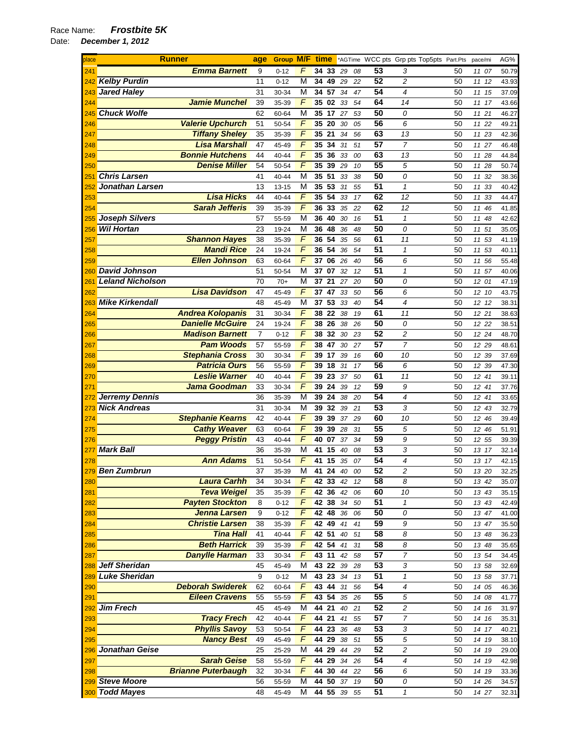*Todd Mayes* 48 45-49 M **44 55** *39 55* **51** *1* 50 *14 27* 32.31